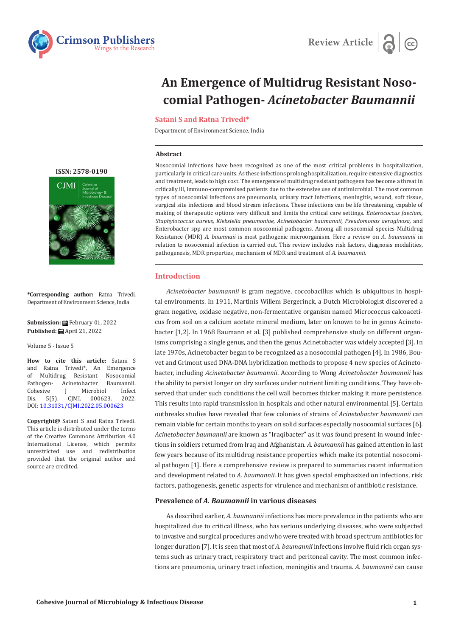



# **An Emergence of Multidrug Resistant Nosocomial Pathogen-** *Acinetobacter Baumannii*

## **Satani S and Ratna Trivedi\***

Department of Environment Science, India

#### **Abstract**

Nosocomial infections have been recognized as one of the most critical problems in hospitalization, particularly in critical care units. As these infections prolong hospitalization, require extensive diagnostics and treatment, leads to high cost. The emergence of multidrug resistant pathogens has become a threat in critically ill, immuno-compromised patients due to the extensive use of antimicrobial. The most common types of nosocomial infections are pneumonia, urinary tract infections, meningitis, wound, soft tissue, surgical site infections and blood stream infections. These infections can be life threatening, capable of making of therapeutic options very difficult and limits the critical care settings. *Enterococcus faecium, Staphylococcus aureus, Klebsiella pneumoniae, Acinetobacter baumannii, Pseudomonas aeruginosa,* and Enterobacter spp are most common nosocomial pathogens. Among all nosocomial species Multidrug Resistance (MDR) *A. baumnaii* is most pathogenic microorganism. Here a review on *A. baumannii* in relation to nosocomial infection is carried out. This review includes risk factors, diagnosis modalities, pathogenesis, MDR properties, mechanism of MDR and treatment of *A. baumannii.*

# **Introduction**

*Acinetobacter baumannii* is gram negative, coccobacillus which is ubiquitous in hospital environments. In 1911, Martinis Willem Bergerinck, a Dutch Microbiologist discovered a gram negative, oxidase negative, non-fermentative organism named Micrococcus calcoaceticus from soil on a calcium acetate mineral medium, later on known to be in genus Acinetobacter [1,2]. In 1968 Baumann et al. [3] published comprehensive study on different organisms comprising a single genus, and then the genus Acinetobacter was widely accepted [3]. In late 1970s, Acinetobacter began to be recognized as a nosocomial pathogen [4]. In 1986, Bouvet and Grimont used DNA-DNA hybridization methods to propose 4 new species of Acinetobacter, including *Acinetobacter baumannii*. According to Wong *Acinetobacter baumannii* has the ability to persist longer on dry surfaces under nutrient limiting conditions. They have observed that under such conditions the cell wall becomes thicker making it more persistence. This results into rapid transmission in hospitals and other natural environmental [5]. Certain outbreaks studies have revealed that few colonies of strains of *Acinetobacter baumannii* can remain viable for certain months to years on solid surfaces especially nosocomial surfaces [6]. *Acinetobacter baumannii* are known as "Iraqibacter" as it was found present in wound infections in soldiers returned from Iraq and Afghanistan. *A. baumannii* has gained attention in last few years because of its multidrug resistance properties which make its potential nosocomial pathogen [1]. Here a comprehensive review is prepared to summaries recent information and development related to *A. baumannii*. It has given special emphasized on infections, risk factors, pathogenesis, genetic aspects for virulence and mechanism of antibiotic resistance.

# **Prevalence of** *A. Baumannii* **in various diseases**

As described earlier, *A. baumannii* infections has more prevalence in the patients who are hospitalized due to critical illness, who has serious underlying diseases, who were subjected to invasive and surgical procedures and who were treated with broad spectrum antibiotics for longer duration [7]. It is seen that most of *A. baumannii* infections involve fluid rich organ systems such as urinary tract, respiratory tract and peritoneal cavity. The most common infections are pneumonia, urinary tract infection, meningitis and trauma. *A. baumannii* can cause

# **[ISSN: 2578-0190](https://crimsonpublishers.com/cjmi/)**  $C<sub>IM</sub>$



**\*Corresponding author:** Ratna Trivedi, Department of Environment Science, India

**Submission:** February 01, 2022 **Published:** April 21, 2022

Volume 5 - Issue 5

**How to cite this article:** Satani S and Ratna Trivedi\*, An Emergence of Multidrug Resistant Nosocomial<br>Pathogen- Acinetobacter Baumannii. Pathogen- Acinetobacter Baumannii.<br>Cohesive I Microbiol Infect Cohesive J Microbiol Infect<br>Dis. 5(5). CJMI. 000623. 2022. Dis. 5(5). CJMI. 000623. 2022. DOI: [10.31031/CJMI.2022.05.000623](http://dx.doi.org/10.31031/CJMI.2022.05.000623)

**Copyright@** Satani S and Ratna Trivedi. This article is distributed under the terms of the Creative Commons Attribution 4.0 International License, which permits unrestricted use and redistribution provided that the original author and source are credited.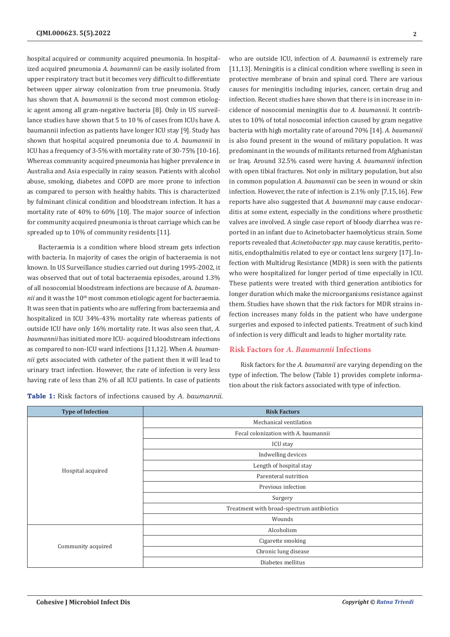hospital acquired or community acquired pneumonia. In hospitalized acquired pneumonia *A. baumannii* can be easily isolated from upper respiratory tract but it becomes very difficult to differentiate between upper airway colonization from true pneumonia. Study has shown that A*. baumannii* is the second most common etiologic agent among all gram-negative bacteria [8]. Only in US surveillance studies have shown that 5 to 10 % of cases from ICUs have A. baumannii infection as patients have longer ICU stay [9]. Study has shown that hospital acquired pneumonia due to *A. baumannii* in ICU has a frequency of 3-5% with mortality rate of 30-75% [10-16]. Whereas community acquired pneumonia has higher prevalence in Australia and Asia especially in rainy season. Patients with alcohol abuse, smoking, diabetes and COPD are more prone to infection as compared to person with healthy habits. This is characterized by fulminant clinical condition and bloodstream infection. It has a mortality rate of 40% to 60% [10]. The major source of infection for community acquired pneumonia is throat carriage which can be spreaded up to 10% of community residents [11].

Bacteraemia is a condition where blood stream gets infection with bacteria. In majority of cases the origin of bacteraemia is not known. In US Surveillance studies carried out during 1995-2002, it was observed that out of total bacteraemia episodes, around 1.3% of all nosocomial bloodstream infections are because of A*. baumannii* and it was the 10<sup>th</sup> most common etiologic agent for bacteraemia. It was seen that in patients who are suffering from bacteraemia and hospitalized in ICU 34%-43% mortality rate whereas patients of outside ICU have only 16% mortality rate. It was also seen that, *A. baumannii* has initiated more ICU- acquired bloodstream infections as compared to non-ICU ward infections [11,12]. When *A. baumannii* gets associated with catheter of the patient then it will lead to urinary tract infection. However, the rate of infection is very less having rate of less than 2% of all ICU patients. In case of patients

**Table 1:** Risk factors of infections caused by *A. baumannii.*

who are outside ICU, infection of *A. baumannii* is extremely rare [11,13]. Meningitis is a clinical condition where swelling is seen in protective membrane of brain and spinal cord. There are various causes for meningitis including injuries, cancer, certain drug and infection. Recent studies have shown that there is in increase in incidence of nosocomial meningitis due to *A. baumannii*. It contributes to 10% of total nosocomial infection caused by gram negative bacteria with high mortality rate of around 70% [14]. *A. baumannii* is also found present in the wound of military population. It was predominant in the wounds of militants returned from Afghanistan or Iraq. Around 32.5% cased were having *A. baumannii* infection with open tibial fractures. Not only in military population, but also in common population *A. baumannii* can be seen in wound or skin infection. However, the rate of infection is 2.1% only [7,15,16]. Few reports have also suggested that *A. baumannii* may cause endocarditis at some extent, especially in the conditions where prosthetic valves are involved. A single case report of bloody diarrhea was reported in an infant due to Acinetobacter haemolyticus strain. Some reports revealed that *Acinetobacter spp*. may cause keratitis, peritonitis, endopthalmitis related to eye or contact lens surgery [17]. Infection with Multidrug Resistance (MDR) is seen with the patients who were hospitalized for longer period of time especially in ICU. These patients were treated with third generation antibiotics for longer duration which make the microorganisms resistance against them. Studies have shown that the risk factors for MDR strains infection increases many folds in the patient who have undergone surgeries and exposed to infected patients. Treatment of such kind of infection is very difficult and leads to higher mortality rate.

## **Risk Factors for** *A. Baumannii* **Infections**

Risk factors for the *A. baumannii* are varying depending on the type of infection. The below (Table 1) provides complete information about the risk factors associated with type of infection.

| <b>Type of Infection</b> | <b>Risk Factors</b>                       |
|--------------------------|-------------------------------------------|
| Hospital acquired        | Mechanical ventilation                    |
|                          | Fecal colonization with A. baumannii      |
|                          | ICU stay                                  |
|                          | Indwelling devices                        |
|                          | Length of hospital stay                   |
|                          | Parenteral nutrition                      |
|                          | Previous infection                        |
|                          | Surgery                                   |
|                          | Treatment with broad-spectrum antibiotics |
|                          | Wounds                                    |
| Community acquired       | Alcoholism                                |
|                          | Cigarette smoking                         |
|                          | Chronic lung disease                      |
|                          | Diabetes mellitus                         |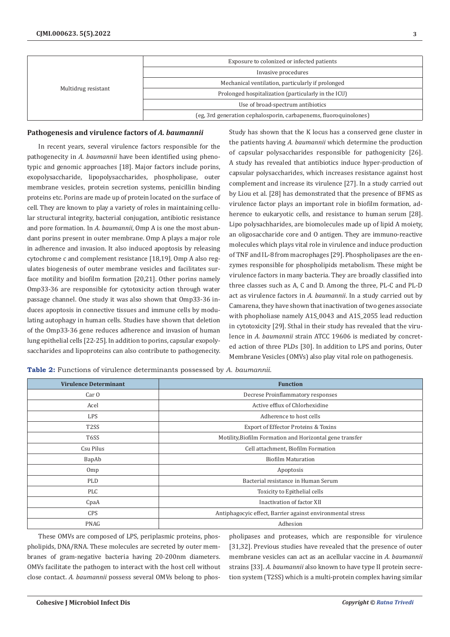| Multidrug resistant | Exposure to colonized or infected patients                        |
|---------------------|-------------------------------------------------------------------|
|                     | Invasive procedures                                               |
|                     | Mechanical ventilation, particularly if prolonged                 |
|                     | Prolonged hospitalization (particularly in the ICU)               |
|                     | Use of broad-spectrum antibiotics                                 |
|                     | (eg, 3rd generation cephalosporin, carbapenems, fluoroquinolones) |

#### **Pathogenesis and virulence factors of** *A. baumannii*

In recent years, several virulence factors responsible for the pathogenecity in *A. baumannii* have been identified using phenotypic and genomic approaches [18]. Major factors include porins, exopolysaccharide, lipopolysaccharides, phospholipase, outer membrane vesicles, protein secretion systems, penicillin binding proteins etc. Porins are made up of protein located on the surface of cell. They are known to play a variety of roles in maintaining cellular structural integrity, bacterial conjugation, antibiotic resistance and pore formation. In *A. baumannii*, Omp A is one the most abundant porins present in outer membrane. Omp A plays a major role in adherence and invasion. It also induced apoptosis by releasing cytochrome c and complement resistance [18,19]. Omp A also regulates biogenesis of outer membrane vesicles and facilitates surface motility and biofilm formation [20,21]. Other porins namely Omp33-36 are responsible for cytotoxicity action through water passage channel. One study it was also shown that Omp33-36 induces apoptosis in connective tissues and immune cells by modulating autophagy in human cells. Studies have shown that deletion of the Omp33-36 gene reduces adherence and invasion of human lung epithelial cells [22-25]. In addition to porins, capsular exopolysaccharides and lipoproteins can also contribute to pathogenecity.

Study has shown that the K locus has a conserved gene cluster in the patients having *A. baumannii* which determine the production of capsular polysaccharides responsible for pathogenicity [26]. A study has revealed that antibiotics induce hyper-production of capsular polysaccharides, which increases resistance against host complement and increase its virulence [27]. In a study carried out by Liou et al. [28] has demonstrated that the presence of BFMS as virulence factor plays an important role in biofilm formation, adherence to eukaryotic cells, and resistance to human serum [28]. Lipo polysachharides, are biomolecules made up of lipid A moiety, an oligosaccharide core and O antigen. They are immuno-reactive molecules which plays vital role in virulence and induce production of TNF and IL-8 from macrophages [29]. Phospholipases are the enzymes responsible for phospholipids metabolism. These might be virulence factors in many bacteria. They are broadly classified into three classes such as A, C and D. Among the three, PL-C and PL-D act as virulence factors in *A. baumannii*. In a study carried out by Camarena, they have shown that inactivation of two genes associate with phopholiase namely A1S\_0043 and A1S\_2055 lead reduction in cytotoxicity [29]. Sthal in their study has revealed that the virulence in *A. baumannii* strain ATCC 19606 is mediated by concreted action of three PLDs [30]. In addition to LPS and porins, Outer Membrane Vesicles (OMVs) also play vital role on pathogenesis.

**Table 2:** Functions of virulence determinants possessed by *A. baumannii.*

| <b>Virulence Determinant</b> | <b>Function</b>                                            |
|------------------------------|------------------------------------------------------------|
| Car <sub>0</sub>             | Decrese Proinflammatory responses                          |
| Acel                         | Active efflux of Chlorhexidine                             |
| <b>LPS</b>                   | Adherence to host cells                                    |
| T <sub>2</sub> SS            | Export of Effector Proteins & Toxins                       |
| T6SS                         | Motility, Biofilm Formation and Horizontal gene transfer   |
| Csu Pilus                    | Cell attachment, Biofilm Formation                         |
| BapAb                        | <b>Biofilm Maturation</b>                                  |
| Omp                          | Apoptosis                                                  |
| PLD                          | Bacterial resistance in Human Serum                        |
| PLC                          | Toxicity to Epithelial cells                               |
| CpaA                         | Inactivation of factor XII                                 |
| <b>CPS</b>                   | Antiphagocyic effect, Barrier against environmental stress |
| PNAG                         | Adhesion                                                   |

These OMVs are composed of LPS, periplasmic proteins, phospholipids, DNA/RNA. These molecules are secreted by outer membranes of gram-negative bacteria having 20-200nm diameters. OMVs facilitate the pathogen to interact with the host cell without close contact. *A. baumannii* possess several OMVs belong to phospholipases and proteases, which are responsible for virulence [31,32]. Previous studies have revealed that the presence of outer membrane vesicles can act as an acellular vaccine in *A. baumannii* strains [33]. *A. baumannii* also known to have type II protein secretion system (T2SS) which is a multi-protein complex having similar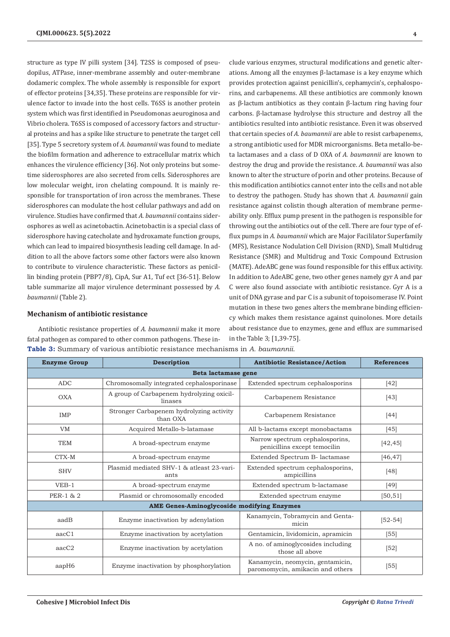structure as type IV pilli system [34]. T2SS is composed of pseudopilus, ATPase, inner-membrane assembly and outer-membrane dodameric complex. The whole assembly is responsible for export of effector proteins [34,35]. These proteins are responsible for virulence factor to invade into the host cells. T6SS is another protein system which was first identified in Pseudomonas aeuroginosa and Vibrio cholera. T6SS is composed of accessory factors and structural proteins and has a spike like structure to penetrate the target cell [35]. Type 5 secretory system of *A. baumannii* was found to mediate the biofilm formation and adherence to extracellular matrix which enhances the virulence efficiency [36]. Not only proteins but sometime siderosphores are also secreted from cells. Siderosphores are low molecular weight, iron chelating compound. It is mainly responsible for transportation of iron across the membranes. These siderosphores can modulate the host cellular pathways and add on virulence. Studies have confirmed that *A. baumannii* contains siderosphores as well as acinetobactin. Acinetobactin is a special class of siderosphore having catecholate and hydroxamate function groups, which can lead to impaired biosynthesis leading cell damage. In addition to all the above factors some other factors were also known to contribute to virulence characteristic. These factors as penicillin binding protein (PBP7/8), CipA, Sur A1, Tuf ect [36-51]. Below table summarize all major virulence determinant possessed by *A. baumannii* (Table 2).

#### **Mechanism of antibiotic resistance**

Antibiotic resistance properties of *A. baumannii* make it more fatal pathogen as compared to other common pathogens. These in-**Table 3:** Summary of various antibiotic resistance mechanisms in *A. baumannii.*

clude various enzymes, structural modifications and genetic alterations. Among all the enzymes β-lactamase is a key enzyme which provides protection against penicillin's, cephamycin's, cephalosporins, and carbapenems. All these antibiotics are commonly known as β-lactum antibiotics as they contain β-lactum ring having four carbons. β-lactamase hydrolyse this structure and destroy all the antibiotics resulted into antibiotic resistance. Even it was observed that certain species of *A. baumannii* are able to resist carbapenems, a strong antibiotic used for MDR microorganisms. Beta metallo-beta lactamases and a class of D OXA of *A. baumannii* are known to destroy the drug and provide the resistance. *A. baumannii* was also known to alter the structure of porin and other proteins. Because of this modification antibiotics cannot enter into the cells and not able to destroy the pathogen. Study has shown that *A. baumannii* gain resistance against colistin though alteration of membrane permeability only. Efflux pump present in the pathogen is responsible for throwing out the antibiotics out of the cell. There are four type of efflux pumps in *A. baumannii* which are Major Facililator Superfamily (MFS), Resistance Nodulation Cell Division (RND), Small Multidrug Resistance (SMR) and Multidrug and Toxic Compound Extrusion (MATE). AdeABC gene was found responsible for this efflux activity. In addition to AdeABC gene, two other genes namely gyr A and par C were also found associate with antibiotic resistance. Gyr A is a unit of DNA gyrase and par C is a subunit of topoisomerase IV. Point mutation in these two genes alters the membrane binding efficiency which makes them resistance against quinolones. More details about resistance due to enzymes, gene and efflux are summarised in the Table 3; [1,39-75].

| <b>Enzyme Group</b> | <b>Description</b>                                   | <b>Antibiotic Resistance/Action</b>                                  | <b>References</b> |  |  |  |
|---------------------|------------------------------------------------------|----------------------------------------------------------------------|-------------------|--|--|--|
| Beta lactamase gene |                                                      |                                                                      |                   |  |  |  |
| <b>ADC</b>          | Chromosomally integrated cephalosporinase            | Extended spectrum cephalosporins                                     | $[42]$            |  |  |  |
| <b>OXA</b>          | A group of Carbapenem hydrolyzing oxicil-<br>linases | Carbapenem Resistance                                                | $[43]$            |  |  |  |
| IMP                 | Stronger Carbapenem hydrolyzing activity<br>than OXA | Carbapenem Resistance                                                | $[44]$            |  |  |  |
| <b>VM</b>           | Acquired Metallo-b-latamase                          | All b-lactams except monobactams                                     | $[45]$            |  |  |  |
| <b>TEM</b>          | A broad-spectrum enzyme                              | Narrow spectrum cephalosporins,<br>penicillins except temocilin      | [42, 45]          |  |  |  |
| CTX-M               | A broad-spectrum enzyme                              | Extended Spectrum B- lactamase                                       | [46, 47]          |  |  |  |
| <b>SHV</b>          | Plasmid mediated SHV-1 & atleast 23-vari-<br>ants    | Extended spectrum cephalosporins,<br>ampicillins                     | [48]              |  |  |  |
| $VEB-1$             | A broad-spectrum enzyme                              | Extended spectrum b-lactamase                                        | $[49]$            |  |  |  |
| PER-1 & 2           | Plasmid or chromosomally encoded                     | Extended spectrum enzyme                                             | [50, 51]          |  |  |  |
|                     | <b>AME Genes-Aminoglycoside modifying Enzymes</b>    |                                                                      |                   |  |  |  |
| aadB                | Enzyme inactivation by adenylation                   | Kanamycin, Tobramycin and Genta-<br>micin                            | $[52 - 54]$       |  |  |  |
| aacC1               | Enzyme inactivation by acetylation                   | Gentamicin, lividomicin, apramicin                                   | $[55]$            |  |  |  |
| $\text{aacC2}$      | Enzyme inactivation by acetylation                   | A no. of aminoglycosides including<br>those all above                | $[52]$            |  |  |  |
| aapH6               | Enzyme inactivation by phosphorylation               | Kanamycin, neomycin, gentamicin,<br>paromomycin, amikacin and others | $[55]$            |  |  |  |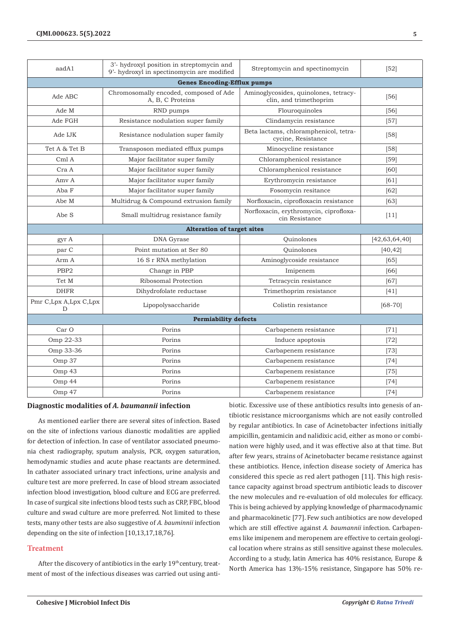| aadA1                              | 3'- hydroxyl position in streptomycin and<br>9'- hydroxyl in spectinomycin are modified | Streptomycin and spectinomycin                                  | [52]             |  |  |  |
|------------------------------------|-----------------------------------------------------------------------------------------|-----------------------------------------------------------------|------------------|--|--|--|
| <b>Genes Encoding-Efflux pumps</b> |                                                                                         |                                                                 |                  |  |  |  |
| Ade ABC                            | Chromosomally encoded, composed of Ade<br>A, B, C Proteins                              | Aminoglycosides, quinolones, tetracy-<br>clin, and trimethoprim | $[56]$           |  |  |  |
| Ade M                              | RND pumps                                                                               | Flouroquinoles                                                  | $[56]$           |  |  |  |
| Ade FGH                            | Resistance nodulation super family                                                      | Clindamycin resistance                                          | $[57]$           |  |  |  |
| Ade IJK                            | Resistance nodulation super family                                                      | Beta lactams, chloramphenicol, tetra-<br>cycine, Resistance     | $[58]$           |  |  |  |
| Tet A & Tet B                      | Transposon mediated efflux pumps                                                        | Minocycline resistance                                          | [58]             |  |  |  |
| Cml A                              | Major facilitator super family                                                          | Chloramphenicol resistance                                      | $[59]$           |  |  |  |
| Cra A                              | Major facilitator super family                                                          | Chloramphenicol resistance                                      | [60]             |  |  |  |
| Amy A                              | Major facilitator super family                                                          | Erythromycin resistance                                         | [61]             |  |  |  |
| Aba F                              | Major facilitator super family                                                          | Fosomycin resitance                                             | [62]             |  |  |  |
| Abe M                              | Multidrug & Compound extrusion family                                                   | Norfloxacin, ciprofloxacin resistance                           | $[63]$           |  |  |  |
| Abe S                              | Small multidrug resistance family                                                       | Norfloxacin, erythromycin, ciprofloxa-<br>cin Resistance        | [11]             |  |  |  |
| <b>Alteration of target sites</b>  |                                                                                         |                                                                 |                  |  |  |  |
| gyr A                              | DNA Gyrase                                                                              | Quinolones                                                      | [42, 63, 64, 40] |  |  |  |
| par C                              | Point mutation at Ser 80                                                                | Ouinolones                                                      | [40, 42]         |  |  |  |
| Arm A                              | 16 S r RNA methylation                                                                  | Aminoglycoside resistance                                       | [65]             |  |  |  |
| PBP <sub>2</sub>                   | Change in PBP                                                                           | Imipenem                                                        | [66]             |  |  |  |
| Tet M                              | Ribosomal Protection                                                                    | Tetracycin resistance                                           | [67]             |  |  |  |
| <b>DHFR</b>                        | Dihydrofolate reductase                                                                 | Trimethoprim resistance                                         | $[41]$           |  |  |  |
| Pmr C, Lpx A, Lpx C, Lpx<br>D      | Lipopolysaccharide                                                                      | Colistin resistance                                             | $[68 - 70]$      |  |  |  |
| <b>Permiability defects</b>        |                                                                                         |                                                                 |                  |  |  |  |
| Car O                              | Porins                                                                                  | Carbapenem resistance                                           | $[71]$           |  |  |  |
| Omp 22-33                          | Porins                                                                                  | Induce apoptosis                                                | $[72]$           |  |  |  |
| Omp 33-36                          | Porins                                                                                  | Carbapenem resistance                                           | $[73]$           |  |  |  |
| Omp 37                             | Porins                                                                                  | Carbapenem resistance                                           | $[74]$           |  |  |  |
| Omp 43                             | Porins                                                                                  | Carbapenem resistance                                           | $[75]$           |  |  |  |
| Omp 44                             | Porins                                                                                  | Carbapenem resistance                                           | $[74]$           |  |  |  |
| Omp 47                             | Porins                                                                                  | Carbapenem resistance                                           | $[74]$           |  |  |  |

# **Diagnostic modalities of** *A. baumannii* **infection**

As mentioned earlier there are several sites of infection. Based on the site of infections various dianostic modalities are applied for detection of infection. In case of ventilator associated pneumonia chest radiography, sputum analysis, PCR, oxygen saturation, hemodynamic studies and acute phase reactants are determined. In cathater associated urinary tract infections, urine analysis and culture test are more preferred. In case of blood stream associated infection blood investigation, blood culture and ECG are preferred. In case of surgical site infections blood tests such as CRP, FBC, blood culture and swad culture are more preferred. Not limited to these tests, many other tests are also suggestive of *A. bauminnii* infection depending on the site of infection [10,13,17,18,76].

# **Treatment**

After the discovery of antibiotics in the early  $19<sup>th</sup>$ century, treatment of most of the infectious diseases was carried out using antibiotic. Excessive use of these antibiotics results into genesis of antibiotic resistance microorganisms which are not easily controlled by regular antibiotics. In case of Acinetobacter infections initially ampicillin, gentamicin and nalidixic acid, either as mono or combination were highly used, and it was effective also at that time. But after few years, strains of Acinetobacter became resistance against these antibiotics. Hence, infection disease society of America has considered this specie as red alert pathogen [11]. This high resistance capacity against broad spectrum antibiotic leads to discover the new molecules and re-evaluation of old molecules for efficacy. This is being achieved by applying knowledge of pharmacodynamic and pharmacokinetic [77]. Few such antibiotics are now developed which are still effective against *A. baumannii* infection. Carbapenems like imipenem and meropenem are effective to certain geological location where strains as still sensitive against these molecules. According to a study, latin America has 40% resistance, Europe & North America has 13%-15% resistance, Singapore has 50% re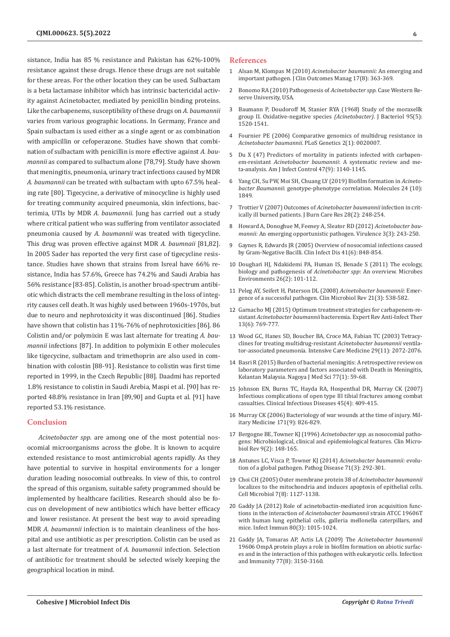sistance, India has 85 % resistance and Pakistan has 62%-100% resistance against these drugs. Hence these drugs are not suitable for these areas. For the other location they can be used. Sulbactam is a beta lactamase inhibitor which has intrinsic bactericidal activity against Acinetobacter, mediated by penicillin binding proteins. Like the carbapenems, susceptibility of these drugs on *A. baumannii* varies from various geographic locations. In Germany, France and Spain sulbactam is used either as a single agent or as combination with ampicillin or cefoperazone. Studies have shown that combination of sulbactam with penicillin is more effective against *A. baumannii* as compared to sulbactum alone [78,79]. Study have shown that meningitis, pneumonia, urinary tract infections caused by MDR *A. baumannii* can be treated with sulbactam with upto 67.5% healing rate [80]. Tigecycine, a derivative of minocycline is highly used for treating community acquired pneumonia, skin infections, bacterimia, UTIs by MDR *A. baumannii*. Jung has carried out a study where critical patient who was suffering from ventilator associated pneumonia caused by *A. baumannii* was treated with tigecycline. This drug was proven effective against MDR *A. baumnaii* [81,82]. In 2005 Sader has reported the very first case of tigecycline resistance. Studies have shown that strains from Isreal have 66% resistance, India has 57.6%, Greece has 74.2% and Saudi Arabia has 56% resistance [83-85]. Colistin, is another broad-spectrum antibiotic which distracts the cell membrane resulting in the loss of integrity causes cell death. It was highly used between 1960s-1970s, but due to neuro and nephrotoxicity it was discontinued [86]. Studies have shown that colistin has 11%-76% of nephrotoxicities [86]. 86 Colistin and/or polymixin E was last alternate for treating *A. baumannii* infections [87]. In addition to polymixin E other molecules like tigecycine, sulbactam and trimethoprin are also used in combination with colostin [88-91]. Resistance to colistin was first time reported in 1999, in the Czech Republic [88]. Daadmi has reported 1.8% resistance to colistin in Saudi Arebia, Maspi et al. [90] has reported 48.8% resistance in Iran [89,90] and Gupta et al. [91] have reported 53.1% resistance.

#### **Conclusion**

*Acinetobacter spp.* are among one of the most potential nosocomial microorganisms across the globe. It is known to acquire extended resistance to most antimicrobial agents rapidly. As they have potential to survive in hospital environments for a longer duration leading nosocomial outbreaks. In view of this, to control the spread of this organism, suitable safety programmed should be implemented by healthcare facilities. Research should also be focus on development of new antibiotics which have better efficacy and lower resistance. At present the best way to avoid spreading MDR *A. baumannii* infection is to maintain cleanliness of the hospital and use antibiotic as per prescription. Colistin can be used as a last alternate for treatment of *A. baumannii* infection. Selection of antibiotic for treatment should be selected wisely keeping the geographical location in mind.

#### **References**

- 1 Alsan M, Klompas M (2010) *[Acinetobacter baumannii:](https://pubmed.ncbi.nlm.nih.gov/26966345/)* An emerging and [important pathogen. J Clin Outcomes Manag 17\(8\): 363-369.](https://pubmed.ncbi.nlm.nih.gov/26966345/)
- 2 Bonomo RA (2010) Pathogenesis of *Acinetobacter spp*. Case Western Reserve University, USA.
- 3 [Baumann P, Doudoroff M, Stanier RYA \(1968\) Study of the moraxellk](https://pubmed.ncbi.nlm.nih.gov/5650064/) [group II. Oxidative-negative species](https://pubmed.ncbi.nlm.nih.gov/5650064/) *(Acinetobacter)*. J Bacteriol 95(5): [1520-1541.](https://pubmed.ncbi.nlm.nih.gov/5650064/)
- 4 [Fournier PE \(2006\) Comparative genomics of multidrug resistance in](https://pubmed.ncbi.nlm.nih.gov/16415984/) *Acinetobacter baumannii*[. PLoS Genetics 2\(1\): 0020007.](https://pubmed.ncbi.nlm.nih.gov/16415984/)
- 5 [Du X \(47\) Predictors of mortality in patients infected with carbapen](https://pubmed.ncbi.nlm.nih.gov/31003750/)em-resistant *Acinetobacter baumannii*[: A systematic review and me](https://pubmed.ncbi.nlm.nih.gov/31003750/)[ta-analysis. Am J Infect Control 47\(9\): 1140-1145.](https://pubmed.ncbi.nlm.nih.gov/31003750/)
- 6 [Yang CH, Su PW, Moi SH, Chuang LY \(2019\) Biofilm formation in](https://pubmed.ncbi.nlm.nih.gov/31091746/) *Acinetobacter Baumannii*[: genotype-phenotype correlation. Molecules 24 \(10\):](https://pubmed.ncbi.nlm.nih.gov/31091746/) [1849.](https://pubmed.ncbi.nlm.nih.gov/31091746/)
- 7 [Trottier V \(2007\) Outcomes of](https://pubmed.ncbi.nlm.nih.gov/17351441/) *Acinetobacter baumannii* infection in crit[ically ill burned patients. J Burn Care Res 28\(2\): 248-254.](https://pubmed.ncbi.nlm.nih.gov/17351441/)
- 8 [Howard A, Donoghue M, Feeney A, Sleator RD \(2012\)](https://pubmed.ncbi.nlm.nih.gov/22546906/) *Acinetobacter baumannii:* [An emerging opportunistic pathogen. Virulence 3\(3\): 243-250.](https://pubmed.ncbi.nlm.nih.gov/22546906/)
- 9 [Gaynes R, Edwards JR \(2005\) Overview of nosocomial infections caused](https://pubmed.ncbi.nlm.nih.gov/16107985/) [by Gram-Negative Bacilli. Clin Infect Dis 41\(6\): 848-854.](https://pubmed.ncbi.nlm.nih.gov/16107985/)
- 10 [Doughari HJ, Ndakidemi PA, Human IS, Benade S \(2011\) The ecology,](https://pubmed.ncbi.nlm.nih.gov/21502736/) [biology and pathogenesis of](https://pubmed.ncbi.nlm.nih.gov/21502736/) *Acinetobacter spp*: An overview. Microbes [Environments 26\(2\): 101-112.](https://pubmed.ncbi.nlm.nih.gov/21502736/)
- 11 [Peleg AY, Seifert H, Paterson DL \(2008\)](https://pubmed.ncbi.nlm.nih.gov/18625687/) *Acinetobacter baumannii*: Emer[gence of a successful pathogen. Clin Microbiol Rev 21\(3\): 538-582.](https://pubmed.ncbi.nlm.nih.gov/18625687/)
- 12 [Garnacho MJ \(2015\) Optimum treatment strategies for carbapenem-re](https://pubmed.ncbi.nlm.nih.gov/25865094/)sistant *Acinetobacter baumannii* [bacteremia. Expert Rev Anti-Infect Ther](https://pubmed.ncbi.nlm.nih.gov/25865094/) [13\(6\): 769-777.](https://pubmed.ncbi.nlm.nih.gov/25865094/)
- 13 [Wood GC, Hanes SD, Boucher BA, Croce MA, Fabian TC \(2003\) Tetracy](https://pubmed.ncbi.nlm.nih.gov/14556048/)[clines for treating multidrug-resistant](https://pubmed.ncbi.nlm.nih.gov/14556048/) *Acinetobacter baumannii* ventila[tor-associated pneumonia. Intensive Care Medicine 29\(11\): 2072-2076.](https://pubmed.ncbi.nlm.nih.gov/14556048/)
- 14 [Basri R \(2015\) Burden of bacterial meningitis: A retrospective review on](https://pubmed.ncbi.nlm.nih.gov/25797971/) [laboratory parameters and factors associated with Death in Meningitis,](https://pubmed.ncbi.nlm.nih.gov/25797971/) [Kelantan Malaysia. Nagoya J Med Sci 77\(1\): 59-68.](https://pubmed.ncbi.nlm.nih.gov/25797971/)
- 15 [Johnson EN, Burns TC, Hayda RA, Hospenthal DR, Murray CK \(2007\)](https://academic.oup.com/cid/article/45/4/409/424340) [Infectious complications of open type III tibial fractures among combat](https://academic.oup.com/cid/article/45/4/409/424340) [casualties. Clinical Infectious Diseases 45\(4\): 409-415.](https://academic.oup.com/cid/article/45/4/409/424340)
- 16 [Murray CK \(2006\) Bacteriology of war wounds at the time of injury. Mil](https://academic.oup.com/milmed/article/171/9/826/4577809)[itary Medicine 171\(9\): 826-829.](https://academic.oup.com/milmed/article/171/9/826/4577809)
- 17 [Bergogne BE, Towner KJ \(1996\)](https://pubmed.ncbi.nlm.nih.gov/8964033/) *Acinetobacter spp.* as nosocomial patho[gens: Microbiological, clinical and epidemiological features. Clin Micro](https://pubmed.ncbi.nlm.nih.gov/8964033/)[biol Rev 9\(2\): 148-165.](https://pubmed.ncbi.nlm.nih.gov/8964033/)
- 18 [Antunes LC, Visca P, Towner KJ \(2014\)](https://pubmed.ncbi.nlm.nih.gov/24376225/) *Acinetobacter baumannii:* evolu[tion of a global pathogen. Pathog Disease 71\(3\): 292-301.](https://pubmed.ncbi.nlm.nih.gov/24376225/)
- 19 [Choi CH \(2005\) Outer membrane protein 38 of](https://pubmed.ncbi.nlm.nih.gov/16008580/) *Acinetobacter baumannii* [localizes to the mitochondria and induces apoptosis of epithelial cells.](https://pubmed.ncbi.nlm.nih.gov/16008580/) [Cell Microbiol 7\(8\): 1127-1138.](https://pubmed.ncbi.nlm.nih.gov/16008580/)
- 20 [Gaddy JA \(2012\) Role of acinetobactin-mediated iron acquisition func](https://pubmed.ncbi.nlm.nih.gov/22232188/)tions in the interaction of *[Acinetobacter baumannii](https://pubmed.ncbi.nlm.nih.gov/22232188/)* strain ATCC 19606T [with human lung epithelial cells, galleria mellonella caterpillars, and](https://pubmed.ncbi.nlm.nih.gov/22232188/) [mice. Infect Immun 80\(3\): 1015-1024.](https://pubmed.ncbi.nlm.nih.gov/22232188/)
- 21 [Gaddy JA, Tomaras AP, Actis LA \(2009\) The](https://pubmed.ncbi.nlm.nih.gov/19470746/) *Acinetobacter baumannii* [19606 OmpA protein plays a role in biofilm formation on abiotic surfac](https://pubmed.ncbi.nlm.nih.gov/19470746/)[es and in the interaction of this pathogen with eukaryotic cells. Infection](https://pubmed.ncbi.nlm.nih.gov/19470746/) [and Immunity 77\(8\): 3150-3160.](https://pubmed.ncbi.nlm.nih.gov/19470746/)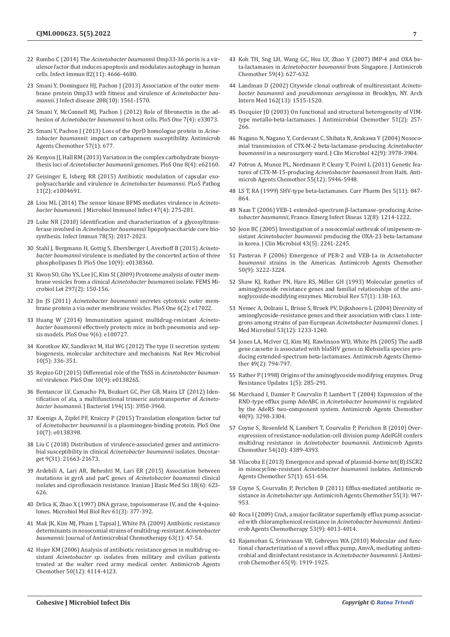- 22 Rumbo C (2014) The *[Acinetobacter baumannii](https://pubmed.ncbi.nlm.nih.gov/25156738/)* Omp33-36 porin is a vir[ulence factor that induces apoptosis and modulates autophagy in human](https://pubmed.ncbi.nlm.nih.gov/25156738/)  [cells. Infect Immun 82\(11\): 4666-4680.](https://pubmed.ncbi.nlm.nih.gov/25156738/)
- 23 [Smani Y, Dominguez HJ, Pachon J \(2013\) Association of the outer mem](https://pubmed.ncbi.nlm.nih.gov/23908480/)[brane protein Omp33 with fitness and virulence of](https://pubmed.ncbi.nlm.nih.gov/23908480/) *Acinetobacter baumannii*[. J Infect disease 208\(10\): 1561-1570.](https://pubmed.ncbi.nlm.nih.gov/23908480/)
- 24 [Smani Y, McConnell MJ, Pachon J \(2012\) Role of fibronectin in the ad](https://pubmed.ncbi.nlm.nih.gov/22514602/)hesion of *Acinetobacter baumannii* [to host cells. PloS One 7\(4\): e33073.](https://pubmed.ncbi.nlm.nih.gov/22514602/)
- 25 [Smani Y, Pachon J \(2013\) Loss of the OprD homologue protein in](https://pubmed.ncbi.nlm.nih.gov/23275492/) *Acinetobacter baumannii*[: impact on carbapenem susceptibility. Antimicrob](https://pubmed.ncbi.nlm.nih.gov/23275492/)  [Agents Chemother 57\(1\): 677.](https://pubmed.ncbi.nlm.nih.gov/23275492/)
- 26 Kenyon II, Hall RM (2013) Variation in the complex carbohydrate biosynthesis loci of *Acinetobacter baumannii* [genomes. PloS One 8\(4\): e62160.](https://pubmed.ncbi.nlm.nih.gov/23614028/)
- 27 [Geisinger E, Isberg RR \(2015\) Antibiotic modulation of capsular exo](https://pubmed.ncbi.nlm.nih.gov/25679516/)[polysaccharide and virulence in](https://pubmed.ncbi.nlm.nih.gov/25679516/) *Acinetobacter baumannii*. PLoS Pathog [11\(2\): e1004691.](https://pubmed.ncbi.nlm.nih.gov/25679516/)
- 28 [Liou ML \(2014\) The sensor kinase BFMS mediates virulence in](https://pubmed.ncbi.nlm.nih.gov/23453128/) *Acinetobacter baumannii*[. J Microbiol Immunol Infect 47\(4\): 275-281.](https://pubmed.ncbi.nlm.nih.gov/23453128/)
- 29 [Luke NR \(2010\) Identification and characterization of a glycosyltrans](https://pubmed.ncbi.nlm.nih.gov/20194587/)ferase involved in *[Acinetobacter baumannii](https://pubmed.ncbi.nlm.nih.gov/20194587/)* lipopolysaccharide core bio[synthesis. Infect Immun 78\(5\): 2017-2023.](https://pubmed.ncbi.nlm.nih.gov/20194587/)
- 30 [Stahl J, Bergmann H, Gottig S, Ebersberger I, Averhoff B \(2015\)](https://pubmed.ncbi.nlm.nih.gov/26379240/) *Acinetobacter baumannii* [virulence is mediated by the concerted action of three](https://pubmed.ncbi.nlm.nih.gov/26379240/)  [phospholipases D. PloS One 10\(9\): e0138360.](https://pubmed.ncbi.nlm.nih.gov/26379240/)
- 31 [Kwon SO, Gho YS, Lee JC, Kim SI \(2009\) Proteome analysis of outer mem](https://pubmed.ncbi.nlm.nih.gov/19548894/)[brane vesicles from a clinical](https://pubmed.ncbi.nlm.nih.gov/19548894/) *Acinetobacter baumannii* isolate. FEMS Mi[crobiol Let 297\(2\): 150-156.](https://pubmed.ncbi.nlm.nih.gov/19548894/)
- 32 Jin JS (2011) *Acinetobacter baumannii* [secretes cytotoxic outer mem](https://pubmed.ncbi.nlm.nih.gov/21386968/)[brane protein a via outer membrane vesicles. PloS One 6\(2\): e17022.](https://pubmed.ncbi.nlm.nih.gov/21386968/)
- 33 [Huang W \(2014\) Immunization against multidrug-resistant](https://pubmed.ncbi.nlm.nih.gov/24956279/) *Acinetobacter baumannii* [effectively protects mice in both pneumonia and sep](https://pubmed.ncbi.nlm.nih.gov/24956279/)[sis models. PloS One 9\(6\): e100727.](https://pubmed.ncbi.nlm.nih.gov/24956279/)
- 34 [Korotkov KV, Sandkvist M, Hol WG \(2012\) The type II secretion system:](https://pubmed.ncbi.nlm.nih.gov/22466878/)  [biogenesis, molecular architecture and mechanism. Nat Rev Microbiol](https://pubmed.ncbi.nlm.nih.gov/22466878/)  [10\(5\): 336-351.](https://pubmed.ncbi.nlm.nih.gov/22466878/)
- 35 [Repizo GD \(2015\) Differential role of the T6SS in](https://pubmed.ncbi.nlm.nih.gov/26401654/) *Acinetobacter baumannii* [virulence. PloS One 10\(9\): e0138265.](https://pubmed.ncbi.nlm.nih.gov/26401654/)
- 36 [Bentancor LV, Camacho PA, Bozkurt GC, Pier GB, Maira LT \(2012\) Iden](https://pubmed.ncbi.nlm.nih.gov/22609912/)[tification of ata, a multifunctional trimeric autotransporter of](https://pubmed.ncbi.nlm.nih.gov/22609912/) *Acinetobacter baumannii*[. J Bacteriol 194\(15\): 3950-3960.](https://pubmed.ncbi.nlm.nih.gov/22609912/)
- 37 [Koenigs A, Zipfel PF, Kraiczy P \(2015\) Translation elongation factor tuf](https://pubmed.ncbi.nlm.nih.gov/26230848/)  of *Acinetobacter baumannii* [is a plasminogen-binding protein. PloS One](https://pubmed.ncbi.nlm.nih.gov/26230848/)  [10\(7\): e0138398.](https://pubmed.ncbi.nlm.nih.gov/26230848/)
- 38 [Liu C \(2018\) Distribution of virulence-associated genes and antimicro](https://pubmed.ncbi.nlm.nih.gov/29774093/)bial susceptibility in clinical *Acinetobacter baumannii* isolates. Oncotar[get 9\(31\): 21663-21673.](https://pubmed.ncbi.nlm.nih.gov/29774093/)
- 39 [Ardebili A, Lari AR, Beheshti M, Lari ER \(2015\) Association between](https://pubmed.ncbi.nlm.nih.gov/26221488/)  [mutations in gyrA and parC genes of](https://pubmed.ncbi.nlm.nih.gov/26221488/) *Acinetobacter baumannii* clinical [isolates and ciprofloxacin resistance. Iranian J Basic Med Sci 18\(6\): 623-](https://pubmed.ncbi.nlm.nih.gov/26221488/) [626.](https://pubmed.ncbi.nlm.nih.gov/26221488/)
- 40 [Drlica K, Zhao X \(1997\) DNA gyrase, topoisomerase IV, and the 4-quino](https://pubmed.ncbi.nlm.nih.gov/9293187/)[lones. Microbiol Mol Biol Rev 61\(3\): 377-392.](https://pubmed.ncbi.nlm.nih.gov/9293187/)
- 41 [Mak JK, Kim MJ, Pham J, Tapsal J, White PA \(2009\) Antibiotic resistance](https://pubmed.ncbi.nlm.nih.gov/18988680/)  [determinants in nosocomial strains of multidrug-resistant](https://pubmed.ncbi.nlm.nih.gov/18988680/) *Acinetobacter baumannii*[. Journal of Antimicrobial Chemotherapy 63\(1\): 47-54.](https://pubmed.ncbi.nlm.nih.gov/18988680/)
- 42 [Hujer KM \(2006\) Analysis of antibiotic resistance genes in multidrug-re](https://pubmed.ncbi.nlm.nih.gov/17000742/)sistant *Acinetobacter sp.* [isolates from military and civilian patients](https://pubmed.ncbi.nlm.nih.gov/17000742/)  [treated at the walter reed army medical center. Antimicrob Agents](https://pubmed.ncbi.nlm.nih.gov/17000742/)  [Chemother 50\(12\): 4114-4123.](https://pubmed.ncbi.nlm.nih.gov/17000742/)
- 43 [Koh TH, Sng LH, Wang GC, Hsu LY, Zhao Y \(2007\) IMP-4 and OXA be](https://pubmed.ncbi.nlm.nih.gov/17284537/)ta-lactamases in *[Acinetobacter baumannii](https://pubmed.ncbi.nlm.nih.gov/17284537/)* from Singapore. J Antimicrob [Chemother 59\(4\): 627-632.](https://pubmed.ncbi.nlm.nih.gov/17284537/)
- 44 [Landman D \(2002\) Citywide clonal outbreak of multiresistant](https://pubmed.ncbi.nlm.nih.gov/12090889/) *Acinetobacter baumannii* and *[pseudomonas aeruginosa](https://pubmed.ncbi.nlm.nih.gov/12090889/)* in Brooklyn, NY. Arch [Intern Med 162\(13\): 1515-1520.](https://pubmed.ncbi.nlm.nih.gov/12090889/)
- 45 [Docquier JD \(2003\) On functional and structural heterogeneity of VIM](https://pubmed.ncbi.nlm.nih.gov/12562689/)[type metallo-beta-lactamases. J Antimicrobial Chemother 51\(2\): 257-](https://pubmed.ncbi.nlm.nih.gov/12562689/) [266.](https://pubmed.ncbi.nlm.nih.gov/12562689/)
- 46 [Nagano N, Nagano Y, Cordevant C, Shibata N, Arakawa Y \(2004\) Nosoco](https://pubmed.ncbi.nlm.nih.gov/15364979/)[mial transmission of CTX-M-2 beta-lactamase-producing](https://pubmed.ncbi.nlm.nih.gov/15364979/) *Acinetobacter baumannii* [in a neurosurgery ward. J Clin Microbiol 42\(9\): 3978-3984.](https://pubmed.ncbi.nlm.nih.gov/15364979/)
- 47 [Potron A, Munoz PL, Nordmann P, Cleary T, Poirel L \(2011\) Genetic fea](https://pubmed.ncbi.nlm.nih.gov/21930877/)tures of CTX-M-15-producing *[Acinetobacter baumannii](https://pubmed.ncbi.nlm.nih.gov/21930877/)* from Haiti. Anti[microb Agents Chemother 55\(12\): 5946-5948.](https://pubmed.ncbi.nlm.nih.gov/21930877/)
- 48 [LS T, RA \(1999\) SHV-type beta-lactamases. Curr Pharm Des 5\(11\): 847-](https://pubmed.ncbi.nlm.nih.gov/10539992/) [864.](https://pubmed.ncbi.nlm.nih.gov/10539992/)
- 49 [Naas T \(2006\) VEB-1 extended-spectrum β-lactamase–producing](https://pubmed.ncbi.nlm.nih.gov/16965700/) *Acinetobacter baumannii*[, France. Emerg Infect Diseas 12\(8\): 1214-1222.](https://pubmed.ncbi.nlm.nih.gov/16965700/)
- 50 [Jeon BC \(2005\) Investigation of a nosocomial outbreak of imipenem-re](https://pubmed.ncbi.nlm.nih.gov/15872249/)sistant *Acinetobacter baumannii* [producing the OXA-23 beta-lactamase](https://pubmed.ncbi.nlm.nih.gov/15872249/) [in korea. J Clin Microbiol 43\(5\): 2241-2245.](https://pubmed.ncbi.nlm.nih.gov/15872249/)
- 51 [Pasteran F \(2006\) Emergence of PER-2 and VEB-1a in](https://pubmed.ncbi.nlm.nih.gov/16940137/) *Acinetobacter baumannii* [strains in the Americas. Antimicrob Agents Chemother](https://pubmed.ncbi.nlm.nih.gov/16940137/) [50\(9\): 3222-3224.](https://pubmed.ncbi.nlm.nih.gov/16940137/)
- 52 [Shaw KJ, Rather PN, Hare RS, Miller GH \(1993\) Molecular genetics of](https://pubmed.ncbi.nlm.nih.gov/8385262/) [aminoglycoside resistance genes and familial relationships of the ami](https://pubmed.ncbi.nlm.nih.gov/8385262/)[noglycoside-modifying enzymes. Microbiol Rev 57\(1\): 138-163.](https://pubmed.ncbi.nlm.nih.gov/8385262/)
- 53 [Nemec A, Dolzani L, Brisse S, Broek PV, Dijkshoorn L \(2004\) Diversity of](https://pubmed.ncbi.nlm.nih.gov/15585503/) [aminoglycoside-resistance genes and their association with class 1 inte](https://pubmed.ncbi.nlm.nih.gov/15585503/)[grons among strains of pan-European](https://pubmed.ncbi.nlm.nih.gov/15585503/) *Acinetobacter baumannii* clones. J [Med Microbiol 53\(12\): 1233-1240.](https://pubmed.ncbi.nlm.nih.gov/15585503/)
- 54 [Jones LA, McIver CJ, Kim MJ, Rawlinson WD, White PA \(2005\) The aadB](https://pubmed.ncbi.nlm.nih.gov/15673771/) [gene cassette is associated with blaSHV genes in Klebsiella species pro](https://pubmed.ncbi.nlm.nih.gov/15673771/)[ducing extended-spectrum beta-lactamases. Antimicrob Agents Chemo](https://pubmed.ncbi.nlm.nih.gov/15673771/)[ther 49\(2\): 794-797.](https://pubmed.ncbi.nlm.nih.gov/15673771/)
- 55 [Rather P \(1998\) Origins of the aminoglycoside modifying enzymes. Drug](https://pubmed.ncbi.nlm.nih.gov/17092809/) [Resistance Updates 1\(5\): 285-291.](https://pubmed.ncbi.nlm.nih.gov/17092809/)
- 56 [Marchand I, Damier P, Courvalin P, Lambert T \(2004\) Expression of the](https://pubmed.ncbi.nlm.nih.gov/15328088/) [RND-type efflux pump AdeABC in](https://pubmed.ncbi.nlm.nih.gov/15328088/) *Acinetobacter baumannii* is regulated [by the AdeRS two-component system. Antimicrob Agents Chemother](https://pubmed.ncbi.nlm.nih.gov/15328088/) [48\(9\): 3298-3304.](https://pubmed.ncbi.nlm.nih.gov/15328088/)
- 57 [Coyne S, Rosenfeld N, Lambert T, Courvalin P, Perichon B \(2010\) Over](https://pubmed.ncbi.nlm.nih.gov/20696879/)[expression of resistance-nodulation-cell division pump AdeFGH confers](https://pubmed.ncbi.nlm.nih.gov/20696879/) multidrug resistance in *[Acinetobacter baumannii.](https://pubmed.ncbi.nlm.nih.gov/20696879/)* Antimicrob Agents [Chemother 54\(10\): 4389-4393.](https://pubmed.ncbi.nlm.nih.gov/20696879/)
- 58 [Vilacoba E \(2013\) Emergence and spread of plasmid-borne tet\(B\):ISCR2](https://pubmed.ncbi.nlm.nih.gov/23147737/) in minocycline-resistant *[Acinetobacter baumannii](https://pubmed.ncbi.nlm.nih.gov/23147737/)* isolates. Antimicrob [Agents Chemother 57\(1\): 651-654.](https://pubmed.ncbi.nlm.nih.gov/23147737/)
- 59 [Coyne S, Courvalin P, Perichon B \(2011\) Efflux-mediated antibiotic re](https://pubmed.ncbi.nlm.nih.gov/21173183/)sistance in *Acinetobacter spp.* [Antimicrob Agents Chemother 55\(3\): 947-](https://pubmed.ncbi.nlm.nih.gov/21173183/) [953.](https://pubmed.ncbi.nlm.nih.gov/21173183/)
- 60 [Roca I \(2009\) CraA, a major facilitator superfamily efflux pump associat](https://pubmed.ncbi.nlm.nih.gov/19581458/)[ed with chloramphenicol resistance in](https://pubmed.ncbi.nlm.nih.gov/19581458/) *Acinetobacter baumannii*. Antimi[crob Agents Chemotherapy 53\(9\): 4013-4014.](https://pubmed.ncbi.nlm.nih.gov/19581458/)
- 61 [Rajamohan G, Srinivasan VB, Gebreyes WA \(2010\) Molecular and func](https://pubmed.ncbi.nlm.nih.gov/20573661/)[tional characterization of a novel efflux pump, AmvA, mediating antimi](https://pubmed.ncbi.nlm.nih.gov/20573661/)[crobial and disinfectant resistance in](https://pubmed.ncbi.nlm.nih.gov/20573661/) *Acinetobacter baumannii*. J Antimi[crob Chemother 65\(9\): 1919-1925.](https://pubmed.ncbi.nlm.nih.gov/20573661/)